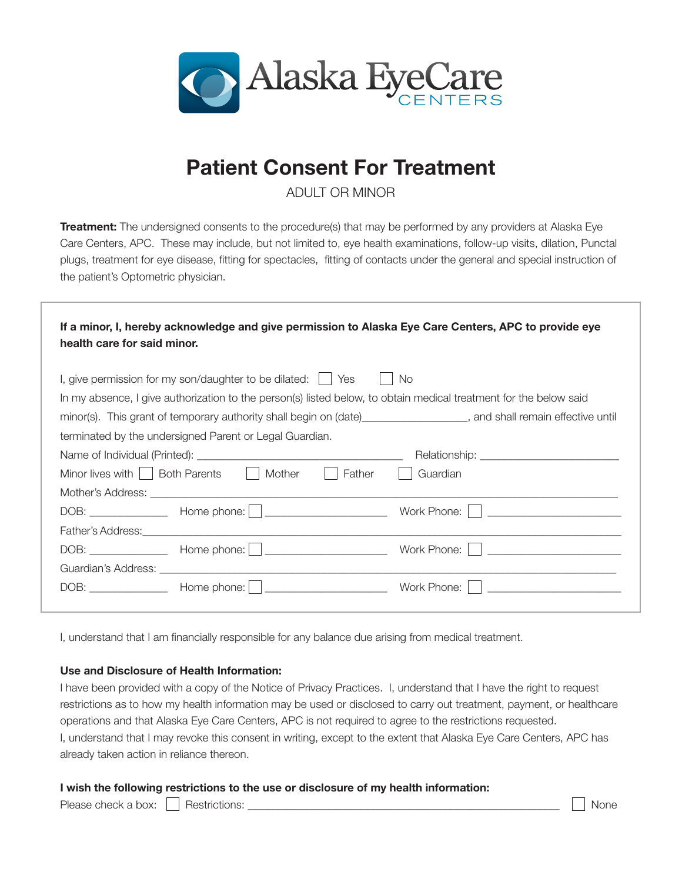

## Patient Consent For Treatment

ADULT OR MINOR

Treatment: The undersigned consents to the procedure(s) that may be performed by any providers at Alaska Eye Care Centers, APC. These may include, but not limited to, eye health examinations, follow-up visits, dilation, Punctal plugs, treatment for eye disease, fitting for spectacles, fitting of contacts under the general and special instruction of the patient's Optometric physician.

| If a minor, I, hereby acknowledge and give permission to Alaska Eye Care Centers, APC to provide eye<br>health care for said minor.                                                                                                                                                                                                                                                     |                                                                                                                                                                                                                                |                                            |  |
|-----------------------------------------------------------------------------------------------------------------------------------------------------------------------------------------------------------------------------------------------------------------------------------------------------------------------------------------------------------------------------------------|--------------------------------------------------------------------------------------------------------------------------------------------------------------------------------------------------------------------------------|--------------------------------------------|--|
| I, give permission for my son/daughter to be dilated: $\vert \vert$ Yes<br>No<br>In my absence, I give authorization to the person(s) listed below, to obtain medical treatment for the below said<br>minor(s). This grant of temporary authority shall begin on (date)___________________, and shall remain effective until<br>terminated by the undersigned Parent or Legal Guardian. |                                                                                                                                                                                                                                |                                            |  |
|                                                                                                                                                                                                                                                                                                                                                                                         | Minor lives with   Both Parents   Mother<br>Father<br>$\mathbf{L}$                                                                                                                                                             | Guardian                                   |  |
|                                                                                                                                                                                                                                                                                                                                                                                         | Father's Address: Lawrence and the contract of the contract of the contract of the contract of the contract of                                                                                                                 | Work Phone:     __________________________ |  |
|                                                                                                                                                                                                                                                                                                                                                                                         | Guardian's Address: the contract of the contract of the contract of the contract of the contract of the contract of the contract of the contract of the contract of the contract of the contract of the contract of the contra | Work Phone:     __________________________ |  |
|                                                                                                                                                                                                                                                                                                                                                                                         |                                                                                                                                                                                                                                | Work Phone:                                |  |

I, understand that I am financially responsible for any balance due arising from medical treatment.

## Use and Disclosure of Health Information:

I have been provided with a copy of the Notice of Privacy Practices. I, understand that I have the right to request restrictions as to how my health information may be used or disclosed to carry out treatment, payment, or healthcare operations and that Alaska Eye Care Centers, APC is not required to agree to the restrictions requested. I, understand that I may revoke this consent in writing, except to the extent that Alaska Eye Care Centers, APC has already taken action in reliance thereon.

## I wish the following restrictions to the use or disclosure of my health information:

Please check a box: Restrictions: \_\_\_\_\_\_\_\_\_\_\_\_\_\_\_\_\_\_\_\_\_\_\_\_\_\_\_\_\_\_\_\_\_\_\_\_\_\_\_\_\_\_\_\_\_\_\_\_\_\_\_\_\_\_\_\_ None